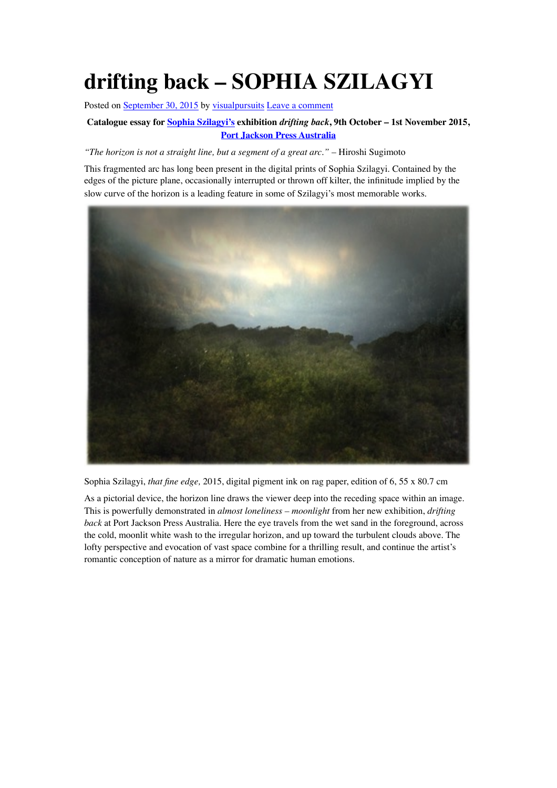## **drifting back – SOPHIA SZILAGYI**

Posted on [September 30, 2015](https://visualpursuits.org/2015/09/30/drifting-back-sophia-szilagyi/) by [visualpursuits](https://visualpursuits.org/author/visualpursuits/) [Leave a comment](https://visualpursuits.org/2015/09/30/drifting-back-sophia-szilagyi/#respond)

**Catalogue essay for [Sophia Szilagyi's](http://www.sophiaszilagyi.com) exhibition** *drifting back***, 9th October – 1st November 2015, [Port Jackson Press Australia](http://www.portjacksonpress.com.au/index.php)**

## *"The horizon is not a straight line, but a segment of a great arc."* – Hiroshi Sugimoto

This fragmented arc has long been present in the digital prints of Sophia Szilagyi. Contained by the edges of the picture plane, occasionally interrupted or thrown off kilter, the infinitude implied by the slow curve of the horizon is a leading feature in some of Szilagyi's most memorable works.



Sophia Szilagyi, *that fine edge,* 2015, digital pigment ink on rag paper, edition of 6, 55 x 80.7 cm

As a pictorial device, the horizon line draws the viewer deep into the receding space within an image. This is powerfully demonstrated in *almost loneliness – moonlight* from her new exhibition, *drifting back* at Port Jackson Press Australia*.* Here the eye travels from the wet sand in the foreground, across the cold, moonlit white wash to the irregular horizon, and up toward the turbulent clouds above. The lofty perspective and evocation of vast space combine for a thrilling result, and continue the artist's romantic conception of nature as a mirror for dramatic human emotions.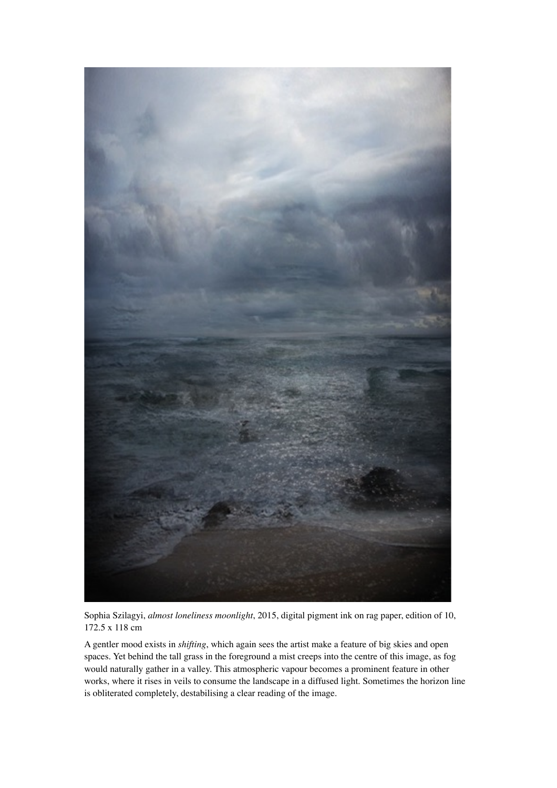

Sophia Szilagyi, *almost loneliness moonlight*, 2015, digital pigment ink on rag paper, edition of 10, 172.5 x 118 cm

A gentler mood exists in *shifting*, which again sees the artist make a feature of big skies and open spaces. Yet behind the tall grass in the foreground a mist creeps into the centre of this image, as fog would naturally gather in a valley. This atmospheric vapour becomes a prominent feature in other works, where it rises in veils to consume the landscape in a diffused light. Sometimes the horizon line is obliterated completely, destabilising a clear reading of the image.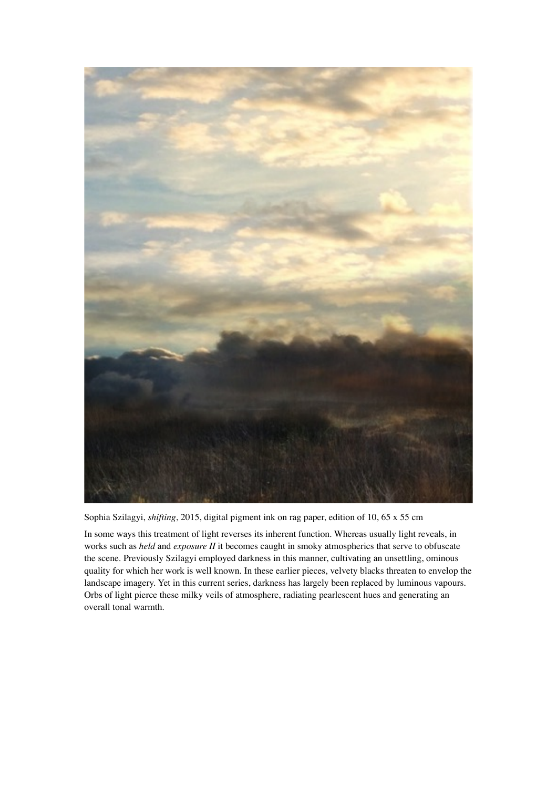

Sophia Szilagyi, *shifting*, 2015, digital pigment ink on rag paper, edition of 10, 65 x 55 cm

In some ways this treatment of light reverses its inherent function. Whereas usually light reveals, in works such as *held* and *exposure II* it becomes caught in smoky atmospherics that serve to obfuscate the scene. Previously Szilagyi employed darkness in this manner, cultivating an unsettling, ominous quality for which her work is well known. In these earlier pieces, velvety blacks threaten to envelop the landscape imagery. Yet in this current series, darkness has largely been replaced by luminous vapours. Orbs of light pierce these milky veils of atmosphere, radiating pearlescent hues and generating an overall tonal warmth.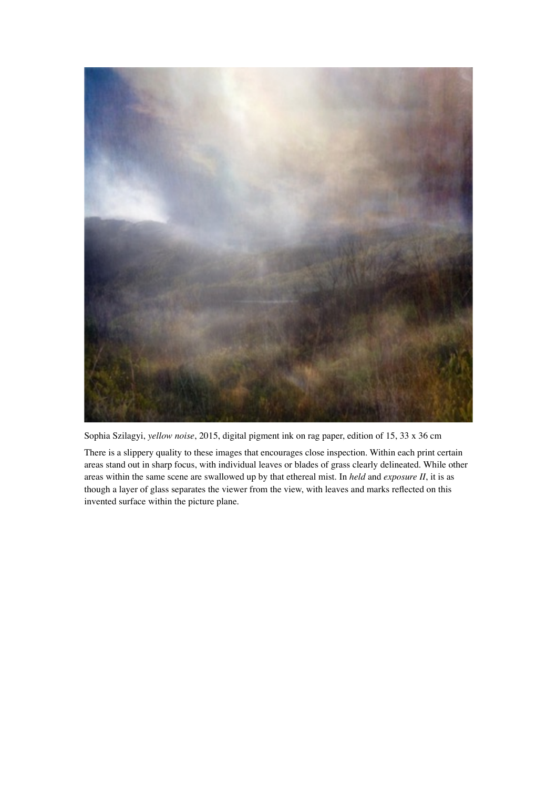

Sophia Szilagyi, *yellow noise*, 2015, digital pigment ink on rag paper, edition of 15, 33 x 36 cm

There is a slippery quality to these images that encourages close inspection. Within each print certain areas stand out in sharp focus, with individual leaves or blades of grass clearly delineated. While other areas within the same scene are swallowed up by that ethereal mist. In *held* and *exposure II*, it is as though a layer of glass separates the viewer from the view, with leaves and marks reflected on this invented surface within the picture plane.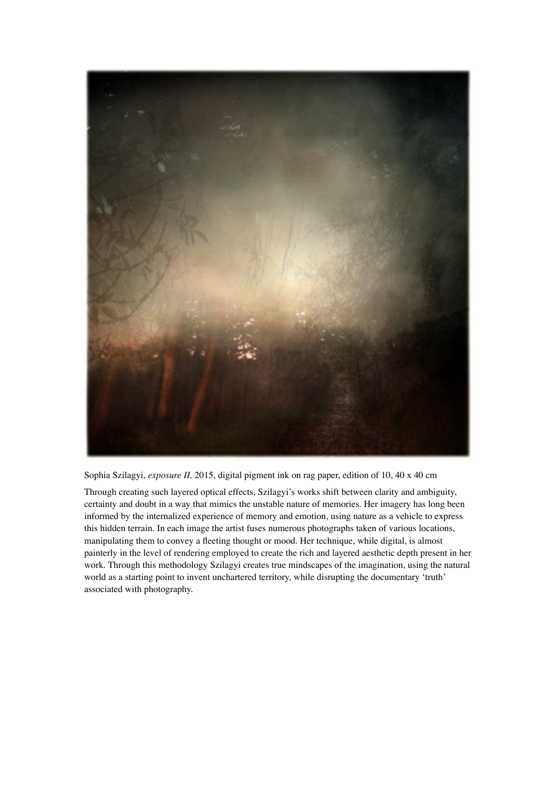

Sophia Szilagyi, *exposure II,* 2015, digital pigment ink on rag paper, edition of 10, 40 x 40 cm

Through creating such layered optical effects, Szilagyi's works shift between clarity and ambiguity, certainty and doubt in a way that mimics the unstable nature of memories. Her imagery has long been informed by the internalized experience of memory and emotion, using nature as a vehicle to express this hidden terrain. In each image the artist fuses numerous photographs taken of various locations, manipulating them to convey a fleeting thought or mood. Her technique, while digital, is almost painterly in the level of rendering employed to create the rich and layered aesthetic depth present in her work. Through this methodology Szilagyi creates true mindscapes of the imagination, using the natural world as a starting point to invent unchartered territory, while disrupting the documentary 'truth' associated with photography.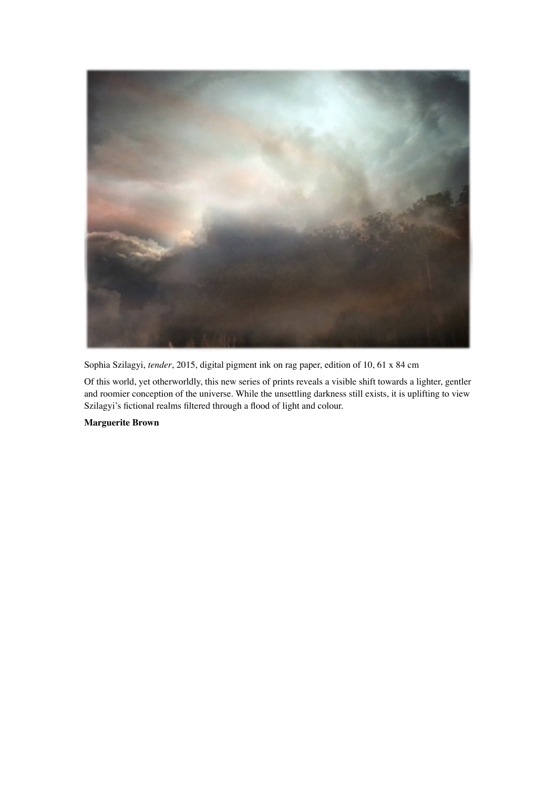

Sophia Szilagyi, *tender*, 2015, digital pigment ink on rag paper, edition of 10, 61 x 84 cm

Of this world, yet otherworldly, this new series of prints reveals a visible shift towards a lighter, gentler and roomier conception of the universe. While the unsettling darkness still exists, it is uplifting to view Szilagyi's fictional realms filtered through a flood of light and colour.

**Marguerite Brown**